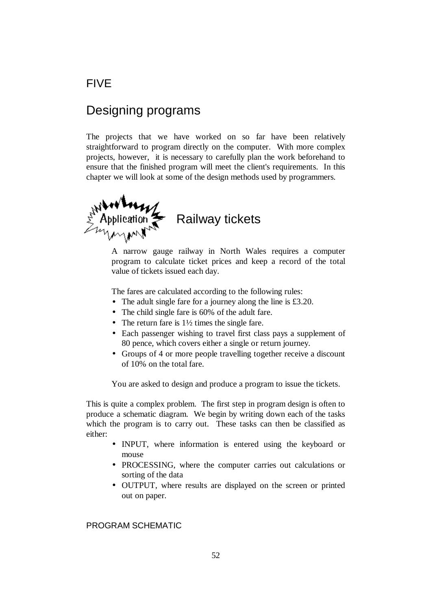### FIVE

## Designing programs

The projects that we have worked on so far have been relatively straightforward to program directly on the computer. With more complex projects, however, it is necessary to carefully plan the work beforehand to ensure that the finished program will meet the client's requirements. In this chapter we will look at some of the design methods used by programmers.



A narrow gauge railway in North Wales requires a computer program to calculate ticket prices and keep a record of the total value of tickets issued each day.

The fares are calculated according to the following rules:

- The adult single fare for a journey along the line is £3.20.
- The child single fare is 60% of the adult fare.
- The return fare is  $1\frac{1}{2}$  times the single fare.
- Each passenger wishing to travel first class pays a supplement of 80 pence, which covers either a single or return journey.
- Groups of 4 or more people travelling together receive a discount of 10% on the total fare.

You are asked to design and produce a program to issue the tickets.

This is quite a complex problem. The first step in program design is often to produce a schematic diagram. We begin by writing down each of the tasks which the program is to carry out. These tasks can then be classified as either:

- INPUT, where information is entered using the keyboard or mouse
- PROCESSING, where the computer carries out calculations or sorting of the data
- OUTPUT, where results are displayed on the screen or printed out on paper.

### PROGRAM SCHEMATIC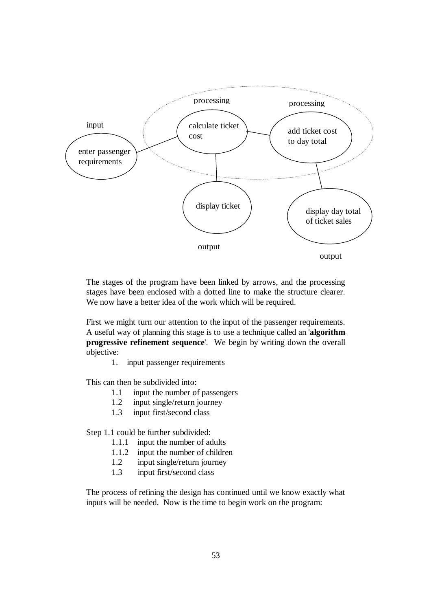

The stages of the program have been linked by arrows, and the processing stages have been enclosed with a dotted line to make the structure clearer. We now have a better idea of the work which will be required.

First we might turn our attention to the input of the passenger requirements. A useful way of planning this stage is to use a technique called an '**algorithm progressive refinement sequence**'. We begin by writing down the overall objective:

1. input passenger requirements

This can then be subdivided into:

- 1.1 input the number of passengers
- 1.2 input single/return journey
- 1.3 input first/second class

Step 1.1 could be further subdivided:

- 1.1.1 input the number of adults
- 1.1.2 input the number of children
- 1.2 input single/return journey
- 1.3 input first/second class

The process of refining the design has continued until we know exactly what inputs will be needed. Now is the time to begin work on the program: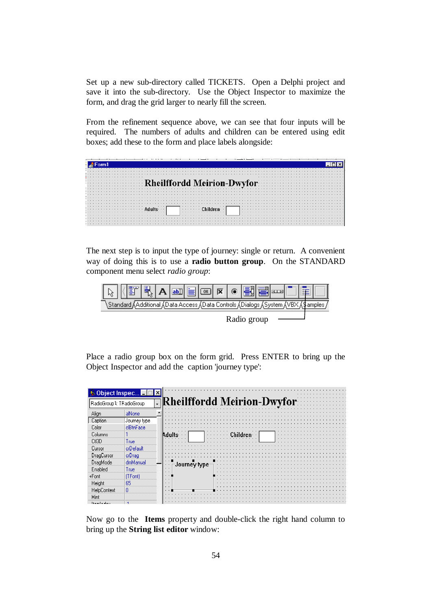Set up a new sub-directory called TICKETS. Open a Delphi project and save it into the sub-directory. Use the Object Inspector to maximize the form, and drag the grid larger to nearly fill the screen.

From the refinement sequence above, we can see that four inputs will be required. The numbers of adults and children can be entered using edit boxes; add these to the form and place labels alongside:

| Rheilffordd Meirion-Dwyfor: |  |
|-----------------------------|--|
|                             |  |
|                             |  |
|                             |  |
|                             |  |
|                             |  |
|                             |  |
|                             |  |
|                             |  |
| .                           |  |
|                             |  |
|                             |  |
|                             |  |
|                             |  |
|                             |  |
|                             |  |

The next step is to input the type of journey: single or return. A convenient way of doing this is to use a **radio button group**. On the STANDARD component menu select *radio group*:



Radio group

Place a radio group box on the form grid. Press ENTER to bring up the Object Inspector and add the caption 'journey type':

|                          | Object Inspec <b>HOK</b> |                                    |
|--------------------------|--------------------------|------------------------------------|
|                          |                          |                                    |
| RadioGroup1: TRadioGroup |                          | [Rheilffordd Meirion-Dwyfor<br>ا پ |
|                          |                          |                                    |
| Align                    | alNone                   |                                    |
| Caption                  | Journey type             |                                    |
| Color                    | cBthFace                 |                                    |
| Columns                  |                          |                                    |
|                          |                          |                                    |
| CH3D                     | l rue                    |                                    |
| Cursor                   | crDefault                |                                    |
| DragCursor               | crDrag                   |                                    |
| DragMode                 | dmManual                 |                                    |
| Enabled                  | Tue                      |                                    |
|                          |                          |                                    |
| +Font                    | TFontl                   |                                    |
| Height                   | 65                       |                                    |
| HelpLontext              |                          |                                    |
| Hint                     |                          |                                    |
|                          |                          |                                    |

Now go to the **Items** property and double-click the right hand column to bring up the **String list editor** window: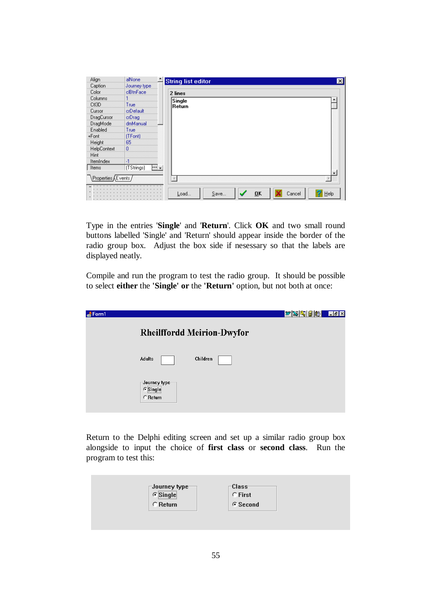| Align                         | alNone                           | <b>String list editor</b><br>$\times$ |
|-------------------------------|----------------------------------|---------------------------------------|
| Caption                       | Journey type                     |                                       |
| Color                         | clBtnFace                        | 2 lines                               |
| Columns                       |                                  | Single                                |
| CtI3D                         | True                             | Return                                |
| Cursor                        | crDefault                        |                                       |
| DragCursor                    | crDrag                           |                                       |
| DragMode                      | dmManual                         |                                       |
| Enabled                       | True                             |                                       |
| +Font                         | (TFont)                          |                                       |
| Height                        | 65                               |                                       |
| HelpContext                   | ٥                                |                                       |
| Hint                          |                                  |                                       |
| ItemIndex                     |                                  |                                       |
| Items                         | (TStrings)<br> ···  <sub>▼</sub> |                                       |
| ∖Properties <i>(</i> Events / |                                  |                                       |
|                               |                                  | Save<br>OK<br>Load<br>Cancel<br>Help  |

Type in the entries '**Single**' and '**Return**'. Click **OK** and two small round buttons labelled 'Single' and 'Return' should appear inside the border of the radio group box. Adjust the box side if nesessary so that the labels are displayed neatly.

Compile and run the program to test the radio group. It should be possible to select **either** the **'Single' or** the **'Return'** option, but not both at once:

| $\triangle$ Form 1 |                                                     | $w$ $\otimes$ $\circ$ $\circ$<br>$\Box$ $\mathbf{z}$ |
|--------------------|-----------------------------------------------------|------------------------------------------------------|
|                    | <b>Rheilffordd Meirion-Dwyfor</b>                   |                                                      |
|                    | Children<br><b>Adults</b>                           |                                                      |
|                    | Journey type <sup>.</sup><br>$C$ Single<br>C Return |                                                      |

Return to the Delphi editing screen and set up a similar radio group box alongside to input the choice of **first class** or **second class**. Run the program to test this:

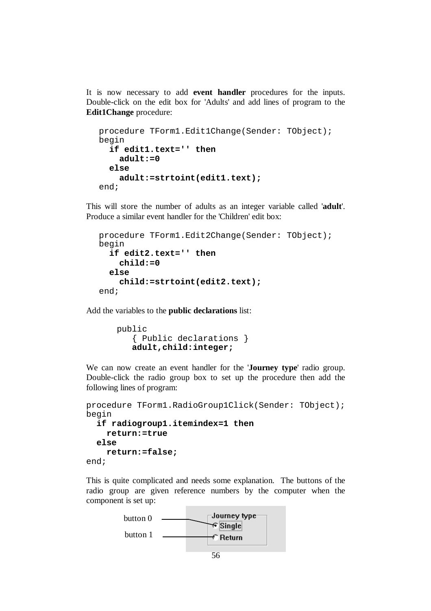It is now necessary to add **event handler** procedures for the inputs. Double-click on the edit box for 'Adults' and add lines of program to the **Edit1Change** procedure:

```
procedure TForm1.Edit1Change(Sender: TObject); 
begin 
   if edit1.text='' then 
     adult:=0 
   else 
     adult:=strtoint(edit1.text); 
end;
```
This will store the number of adults as an integer variable called '**adult**'. Produce a similar event handler for the 'Children' edit box:

```
procedure TForm1.Edit2Change(Sender: TObject); 
begin 
   if edit2.text='' then 
     child:=0 
   else 
     child:=strtoint(edit2.text); 
end;
```
Add the variables to the **public declarations** list:

```
 public 
    { Public declarations } 
    adult,child:integer;
```
We can now create an event handler for the '**Journey type**' radio group. Double-click the radio group box to set up the procedure then add the following lines of program:

```
procedure TForm1.RadioGroup1Click(Sender: TObject);
begin 
   if radiogroup1.itemindex=1 then 
     return:=true 
   else 
     return:=false;
```
end;

This is quite complicated and needs some explanation. The buttons of the radio group are given reference numbers by the computer when the component is set up:

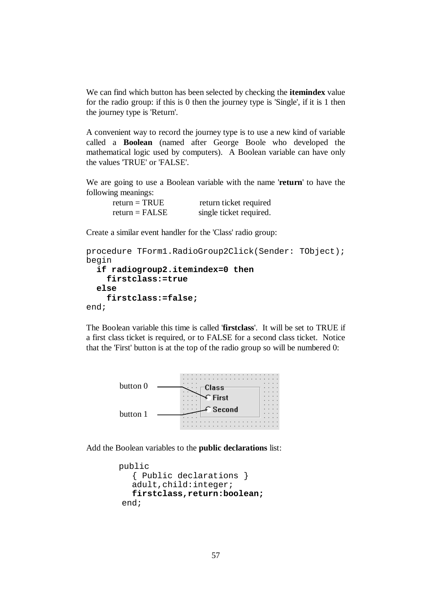We can find which button has been selected by checking the **itemindex** value for the radio group: if this is 0 then the journey type is 'Single', if it is 1 then the journey type is 'Return'.

A convenient way to record the journey type is to use a new kind of variable called a **Boolean** (named after George Boole who developed the mathematical logic used by computers). A Boolean variable can have only the values 'TRUE' or 'FALSE'.

We are going to use a Boolean variable with the name '**return**' to have the following meanings:

| return = $TRUE$  | return ticket required  |
|------------------|-------------------------|
| $return = FALSE$ | single ticket required. |

Create a similar event handler for the 'Class' radio group:

```
procedure TForm1.RadioGroup2Click(Sender: TObject);
begin 
   if radiogroup2.itemindex=0 then 
     firstclass:=true 
   else 
     firstclass:=false; 
end;
```
The Boolean variable this time is called '**firstclass**'. It will be set to TRUE if a first class ticket is required, or to FALSE for a second class ticket. Notice that the 'First' button is at the top of the radio group so will be numbered 0:



Add the Boolean variables to the **public declarations** list:

```
 public 
    { Public declarations } 
    adult,child:integer; 
    firstclass,return:boolean;
 end;
```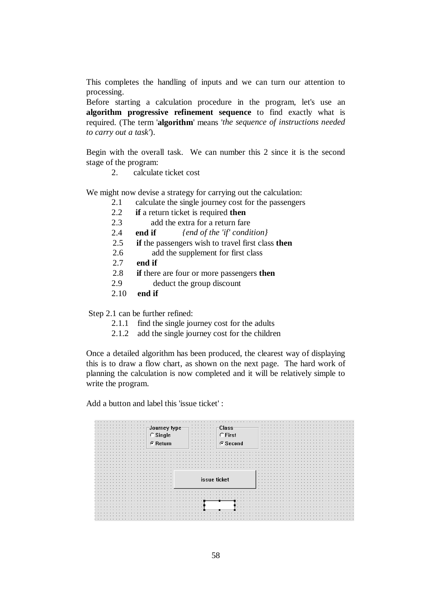This completes the handling of inputs and we can turn our attention to processing.

Before starting a calculation procedure in the program, let's use an **algorithm progressive refinement sequence** to find exactly what is required. (The term '**algorithm**' means '*the sequence of instructions needed to carry out a task'*).

Begin with the overall task. We can number this 2 since it is the second stage of the program:

2. calculate ticket cost

We might now devise a strategy for carrying out the calculation:

- 2.1 calculate the single journey cost for the passengers
- 2.2 **if** a return ticket is required **then**
- 2.3 add the extra for a return fare
- 2.4 **end if** *{end of the 'if' condition}*
- 2.5 **if** the passengers wish to travel first class **then**
- 2.6 add the supplement for first class
- 2.7 **end if**
- 2.8 **if** there are four or more passengers **then**
- 2.9 deduct the group discount
- 2.10 **end if**

Step 2.1 can be further refined:

- 2.1.1 find the single journey cost for the adults
- 2.1.2 add the single journey cost for the children

Once a detailed algorithm has been produced, the clearest way of displaying this is to draw a flow chart, as shown on the next page. The hard work of planning the calculation is now completed and it will be relatively simple to write the program.

Add a button and label this 'issue ticket' :

| .                                               |                   | . |
|-------------------------------------------------|-------------------|---|
|                                                 | .                 |   |
| .                                               | <b>Class</b><br>. |   |
| .                                               | .                 | . |
| .<br>.                                          | C First<br>.      | . |
| -Journey type-<br>- C Single<br>- G Return<br>. | .                 | . |
| .<br>.                                          | .                 | . |
| .<br>.                                          | ⊕ Second<br>.     | . |
| .<br>.                                          | .                 | . |
|                                                 |                   |   |
| .                                               |                   |   |
|                                                 |                   |   |
| .                                               |                   |   |
|                                                 |                   |   |
|                                                 |                   |   |
|                                                 |                   |   |
| .                                               |                   |   |
| .                                               |                   |   |
| .                                               |                   |   |
|                                                 | issue ticket      |   |
|                                                 |                   | . |
|                                                 |                   | . |
|                                                 |                   |   |
|                                                 |                   |   |
|                                                 |                   |   |
|                                                 |                   |   |
|                                                 |                   |   |
| .                                               | .<br>.            |   |
|                                                 | .<br>.            |   |
|                                                 |                   |   |
| .                                               |                   |   |
| .                                               |                   |   |
|                                                 |                   |   |
|                                                 |                   |   |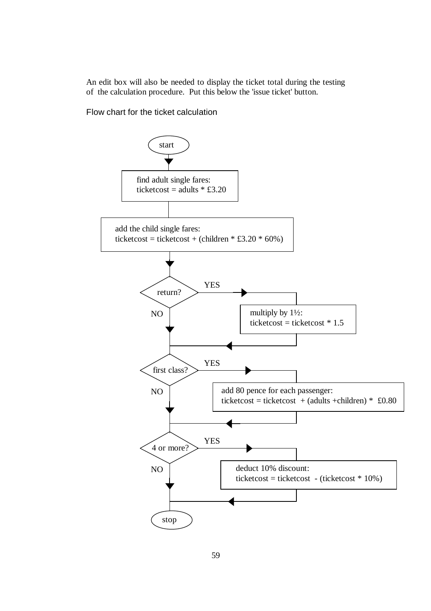An edit box will also be needed to display the ticket total during the testing of the calculation procedure. Put this below the 'issue ticket' button.

Flow chart for the ticket calculation

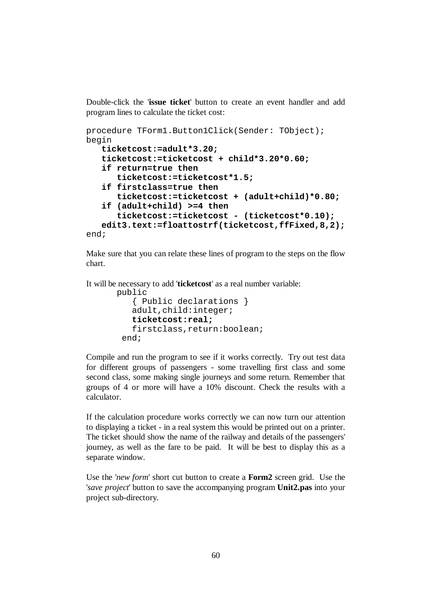Double-click the '**issue ticket**' button to create an event handler and add program lines to calculate the ticket cost:

```
procedure TForm1.Button1Click(Sender: TObject); 
begin 
    ticketcost:=adult*3.20; 
    ticketcost:=ticketcost + child*3.20*0.60; 
    if return=true then 
       ticketcost:=ticketcost*1.5; 
    if firstclass=true then 
       ticketcost:=ticketcost + (adult+child)*0.80; 
    if (adult+child) >=4 then 
       ticketcost:=ticketcost - (ticketcost*0.10); 
    edit3.text:=floattostrf(ticketcost,ffFixed,8,2);
end;
```
Make sure that you can relate these lines of program to the steps on the flow chart.

It will be necessary to add '**ticketcost**' as a real number variable:

```
 public 
    { Public declarations } 
    adult,child:integer; 
    ticketcost:real; 
    firstclass,return:boolean; 
  end;
```
Compile and run the program to see if it works correctly. Try out test data for different groups of passengers - some travelling first class and some second class, some making single journeys and some return. Remember that groups of 4 or more will have a 10% discount. Check the results with a calculator.

If the calculation procedure works correctly we can now turn our attention to displaying a ticket - in a real system this would be printed out on a printer. The ticket should show the name of the railway and details of the passengers' journey, as well as the fare to be paid. It will be best to display this as a separate window.

Use the '*new form*' short cut button to create a **Form2** screen grid. Use the '*save project*' button to save the accompanying program **Unit2.pas** into your project sub-directory.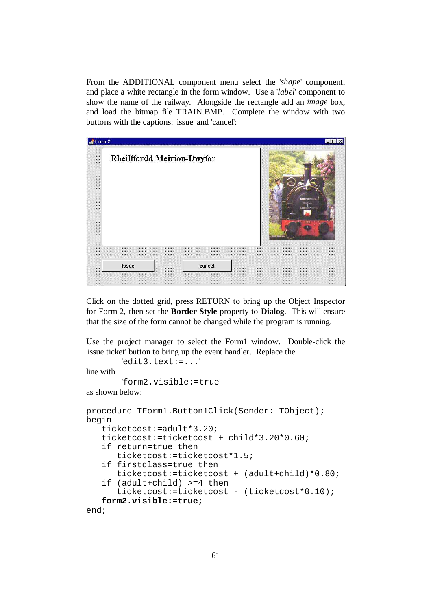From the ADDITIONAL component menu select the '*shape*' component, and place a white rectangle in the form window. Use a '*label*' component to show the name of the railway. Alongside the rectangle add an *image* box, and load the bitmap file TRAIN.BMP. Complete the window with two buttons with the captions: 'issue' and 'cancel':

| Form2                                                                                                          |                                                  |        |                  |                                                     |  |
|----------------------------------------------------------------------------------------------------------------|--------------------------------------------------|--------|------------------|-----------------------------------------------------|--|
|                                                                                                                | Rheilffordd Meirion-Dwyfor                       |        |                  | œ<br>œ<br><b>COM</b><br>Sec.<br><b>SALE</b>         |  |
| <b>CONTRACTOR</b><br><b>DOMESTIC</b><br><b>All Controller Controller</b><br><b>SALE OF</b><br>color contractor |                                                  |        |                  | ×.<br>œ<br>14.15                                    |  |
| <b>CONTRACTOR</b><br>and a control of the<br>54.54<br>CONTRACTOR<br><b>ALCOHOL: NO CONTRACTOR</b>              |                                                  |        |                  | <b>SE 50</b><br>$-100$<br>œ.<br><b>DE 100</b><br>a. |  |
| issue                                                                                                          | <b>CALL CALL</b><br>the company's company's com- | cancel | <b>SALE OF A</b> |                                                     |  |

Click on the dotted grid, press RETURN to bring up the Object Inspector for Form 2, then set the **Border Style** property to **Dialog**. This will ensure that the size of the form cannot be changed while the program is running.

Use the project manager to select the Form1 window. Double-click the 'issue ticket' button to bring up the event handler. Replace the

```
'edit3.text:=...'
line with 
        'form2.visible:=true' 
as shown below: 
procedure TForm1.Button1Click(Sender: TObject); 
begin 
    ticketcost:=adult*3.20; 
    ticketcost:=ticketcost + child*3.20*0.60; 
    if return=true then 
       ticketcost:=ticketcost*1.5; 
    if firstclass=true then 
       ticketcost:=ticketcost + (adult+child)*0.80; 
    if (adult+child) >=4 then 
       ticketcost:=ticketcost - (ticketcost*0.10); 
    form2.visible:=true; 
end;
```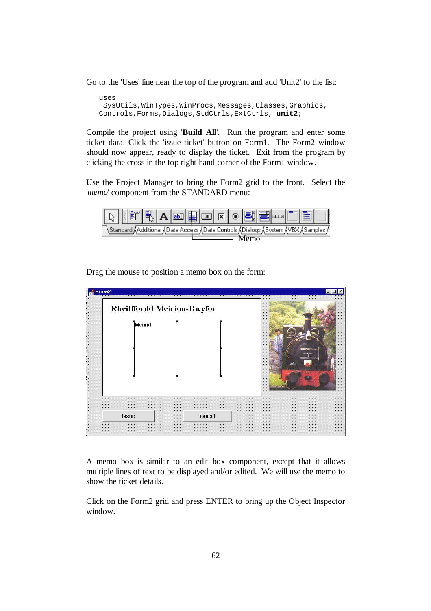Go to the 'Uses' line near the top of the program and add 'Unit2' to the list:

```
uses 
 SysUtils, WinTypes, WinProcs, Messages, Classes, Graphics,
Controls,Forms,Dialogs,StdCtrls,ExtCtrls, unit2;
```
Compile the project using '**Build All**'. Run the program and enter some ticket data. Click the 'issue ticket' button on Form1. The Form2 window should now appear, ready to display the ticket. Exit from the program by clicking the cross in the top right hand corner of the Form1 window.

Use the Project Manager to bring the Form2 grid to the front. Select the '*memo*' component from the STANDARD menu:



 $\triangle$ Form2 **Rheilffordd Meirion-Dwyfor** Memo1 issue cancel

Drag the mouse to position a memo box on the form:

A memo box is similar to an edit box component, except that it allows multiple lines of text to be displayed and/or edited. We will use the memo to show the ticket details.

Click on the Form2 grid and press ENTER to bring up the Object Inspector window.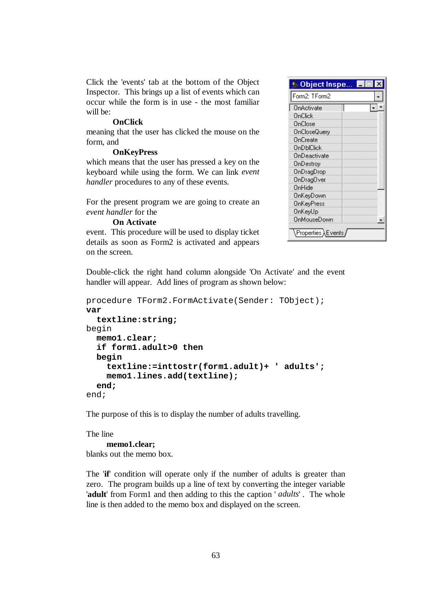Click the 'events' tab at the bottom of the Object Inspector. This brings up a list of events which can occur while the form is in use - the most familiar will be:

#### **OnClick**

meaning that the user has clicked the mouse on the form, and

#### **OnKeyPress**

which means that the user has pressed a key on the keyboard while using the form. We can link *event handler* procedures to any of these events.

For the present program we are going to create an *event handler* for the

#### **On Activate**

event. This procedure will be used to display ticket details as soon as Form2 is activated and appears on the screen.

Double-click the right hand column alongside 'On Activate' and the event handler will appear. Add lines of program as shown below:

```
procedure TForm2.FormActivate(Sender: TObject); 
var 
   textline:string; 
begin 
   memo1.clear; 
   if form1.adult>0 then 
   begin 
     textline:=inttostr(form1.adult)+ ' adults'; 
     memo1.lines.add(textline); 
   end; 
end;
```
The purpose of this is to display the number of adults travelling.

The line **memo1.clear;**  blanks out the memo box.

The '**if**' condition will operate only if the number of adults is greater than zero. The program builds up a line of text by converting the integer variable '**adult**' from Form1 and then adding to this the caption ' *adults*' . The whole line is then added to the memo box and displayed on the screen.

| <b>Mobject Inspe</b> |  |
|----------------------|--|
| Form2: TForm2        |  |
| OnActivate           |  |
| OnClick              |  |
| OnClose              |  |
| <b>OnCloseQuery</b>  |  |
| OnCreate             |  |
| OnDblClick           |  |
| OnDeactivate         |  |
| OnDestroy            |  |
| OnDragDrop           |  |
| 0nDrag0ver           |  |
| OnHide               |  |
| OnKevDown            |  |
| OnKeyPress           |  |
| OnKeyUp              |  |
| OnMouseDown          |  |
|                      |  |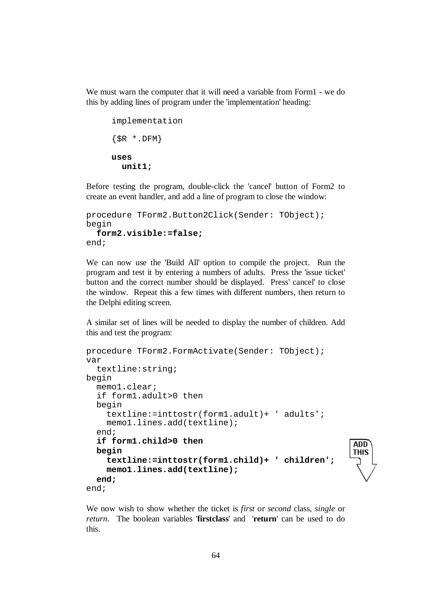We must warn the computer that it will need a variable from Form1 - we do this by adding lines of program under the 'implementation' heading:

```
implementation 
\{SR * .DFM\}uses 
   unit1;
```
Before testing the program, double-click the 'cancel' button of Form2 to create an event handler, and add a line of program to close the window:

```
procedure TForm2.Button2Click(Sender: TObject); 
begin 
   form2.visible:=false; 
end;
```
We can now use the 'Build All' option to compile the project. Run the program and test it by entering a numbers of adults. Press the 'issue ticket' button and the correct number should be displayed. Press' cancel' to close the window. Repeat this a few times with different numbers, then return to the Delphi editing screen.

A similar set of lines will be needed to display the number of children. Add this and test the program:

```
procedure TForm2.FormActivate(Sender: TObject); 
var 
   textline:string; 
begin 
   memo1.clear; 
   if form1.adult>0 then 
   begin 
     textline:=inttostr(form1.adult)+ ' adults'; 
     memo1.lines.add(textline); 
   end; 
   if form1.child>0 then 
                                                            ADD
   begin 
                                                            THIS
     textline:=inttostr(form1.child)+ ' children'; 
     memo1.lines.add(textline); 
   end; 
end;
```
We now wish to show whether the ticket is *first* or *second* class, *single* or *return*. The boolean variables '**firstclass**' and '**return**' can be used to do this.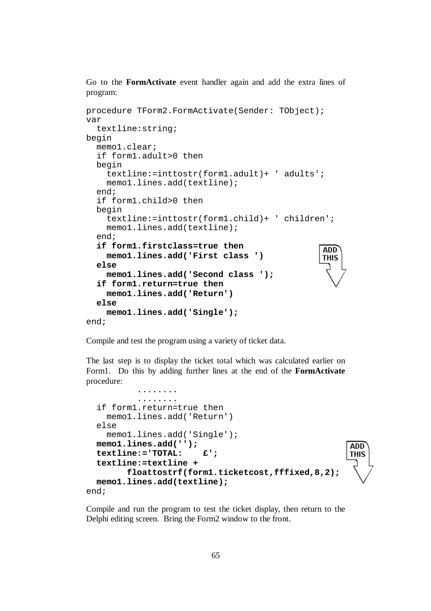Go to the **FormActivate** event handler again and add the extra lines of program:

```
procedure TForm2.FormActivate(Sender: TObject); 
var 
   textline:string; 
begin 
   memo1.clear; 
   if form1.adult>0 then 
   begin 
     textline:=inttostr(form1.adult)+ ' adults'; 
     memo1.lines.add(textline); 
   end; 
   if form1.child>0 then 
   begin 
     textline:=inttostr(form1.child)+ ' children'; 
     memo1.lines.add(textline); 
   end; 
   if form1.firstclass=true then 
                                                     ADD
     memo1.lines.add('First class ') 
                                                     THIS
   else 
     memo1.lines.add('Second class '); 
   if form1.return=true then 
     memo1.lines.add('Return') 
   else 
     memo1.lines.add('Single'); 
end;
```
Compile and test the program using a variety of ticket data.

The last step is to display the ticket total which was calculated earlier on Form1. Do this by adding further lines at the end of the **FormActivate** procedure:

```
 ........ 
            ........ 
   if form1.return=true then 
     memo1.lines.add('Return') 
   else 
     memo1.lines.add('Single'); 
   memo1.lines.add(''); 
                                                           ADD
   textline:='TOTAL: £'; 
                                                           THIS
   textline:=textline + 
         floattostrf(form1.ticketcost,fffixed,8,2); 
  memo1.lines.add(textline);
end;
```
Compile and run the program to test the ticket display, then return to the Delphi editing screen. Bring the Form2 window to the front.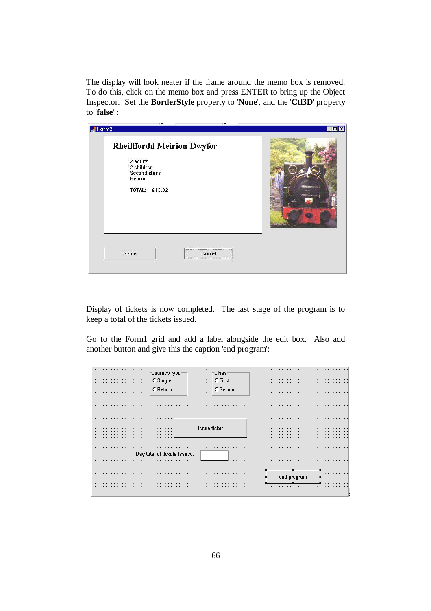The display will look neater if the frame around the memo box is removed. To do this, click on the memo box and press ENTER to bring up the Object Inspector. Set the **BorderStyle** property to '**None**', and the '**Ctl3D**' property to '**false**' :

| Rheilffordd Meirion-Dwyfor<br>2 adults<br>2 children<br><b>Second class</b><br>Return<br>TOTAL: £13.82 |  |
|--------------------------------------------------------------------------------------------------------|--|
| issue<br>cancel                                                                                        |  |

Display of tickets is now completed. The last stage of the program is to keep a total of the tickets issued.

Go to the Form1 grid and add a label alongside the edit box. Also add another button and give this the caption 'end program':

| $\cdots$<br>-Journey type <sup>.</sup><br>$\mathcal{A} \subset \mathcal{A}$ .<br>$\cdots$<br>$\subset$ Single<br>$\cdots$<br>$\cdots$<br>$\cdots$<br>$\cap$ Return<br>1.1.1<br>1.1.1<br>1.1.1 | <b>Class</b><br>$\cdots$<br>$\cdots$<br>C First<br>$\cdots$<br>$\cdots$<br>$\cdots$<br>$\cap$ Second<br>$\cdots \cdots \cdots$<br>$\cdots$<br>$-1$ $-1$ $-1$ $-1$<br>1.111 | $\cdot$ $\cdot$<br>$\mathbf{r}$<br>$\cdots$<br>$\cdots$ | $\cdots$<br>$\cdots$<br>$\sim$ |
|-----------------------------------------------------------------------------------------------------------------------------------------------------------------------------------------------|----------------------------------------------------------------------------------------------------------------------------------------------------------------------------|---------------------------------------------------------|--------------------------------|
|                                                                                                                                                                                               | issue ticket                                                                                                                                                               | $\cdots$<br>$\mathbf{r}$<br>$\cdots$<br>$\cdots$        |                                |
| Day to                                                                                                                                                                                        | $\cdots$<br>$\cdots$                                                                                                                                                       |                                                         |                                |
|                                                                                                                                                                                               |                                                                                                                                                                            | end program                                             |                                |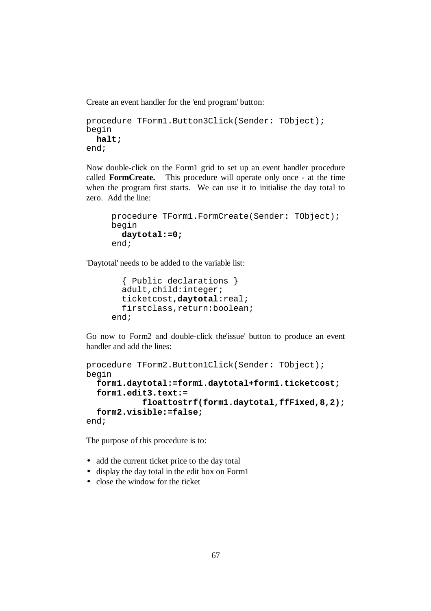Create an event handler for the 'end program' button:

```
procedure TForm1.Button3Click(Sender: TObject); 
begin 
   halt; 
end;
```
Now double-click on the Form1 grid to set up an event handler procedure called **FormCreate.** This procedure will operate only once - at the time when the program first starts. We can use it to initialise the day total to zero. Add the line:

```
procedure TForm1.FormCreate(Sender: TObject); 
begin 
   daytotal:=0; 
end;
```
'Daytotal' needs to be added to the variable list:

```
 { Public declarations } 
   adult,child:integer; 
   ticketcost,daytotal:real; 
   firstclass,return:boolean; 
end;
```
Go now to Form2 and double-click the'issue' button to produce an event handler and add the lines:

```
procedure TForm2.Button1Click(Sender: TObject); 
begin 
   form1.daytotal:=form1.daytotal+form1.ticketcost; 
   form1.edit3.text:= 
            floattostrf(form1.daytotal,ffFixed,8,2);
   form2.visible:=false;
end;
```
The purpose of this procedure is to:

- add the current ticket price to the day total
- display the day total in the edit box on Form1
- close the window for the ticket